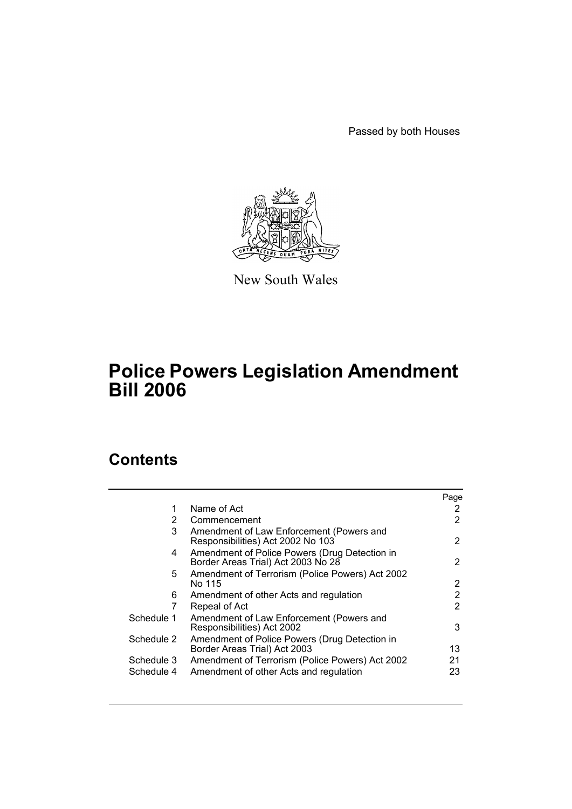Passed by both Houses



New South Wales

# **Police Powers Legislation Amendment Bill 2006**

# **Contents**

|                |                                                                                     | Page |
|----------------|-------------------------------------------------------------------------------------|------|
| 1              | Name of Act                                                                         | 2    |
| $\overline{2}$ | Commencement                                                                        | 2    |
| 3              | Amendment of Law Enforcement (Powers and<br>Responsibilities) Act 2002 No 103       | 2    |
| 4              | Amendment of Police Powers (Drug Detection in<br>Border Areas Trial) Act 2003 No 28 | 2    |
| 5.             | Amendment of Terrorism (Police Powers) Act 2002<br>No 115                           | 2    |
| 6              | Amendment of other Acts and regulation                                              | 2    |
|                | Repeal of Act                                                                       | 2    |
| Schedule 1     | Amendment of Law Enforcement (Powers and<br>Responsibilities) Act 2002              | 3    |
| Schedule 2     | Amendment of Police Powers (Drug Detection in<br>Border Areas Trial) Act 2003       | 13   |
| Schedule 3     | Amendment of Terrorism (Police Powers) Act 2002                                     | 21   |
| Schedule 4     | Amendment of other Acts and regulation                                              | 23   |
|                |                                                                                     |      |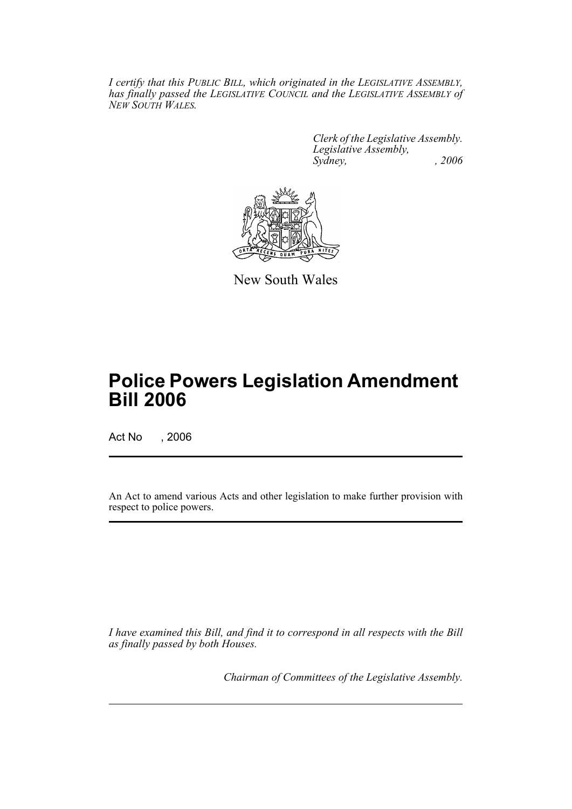*I certify that this PUBLIC BILL, which originated in the LEGISLATIVE ASSEMBLY, has finally passed the LEGISLATIVE COUNCIL and the LEGISLATIVE ASSEMBLY of NEW SOUTH WALES.*

> *Clerk of the Legislative Assembly. Legislative Assembly, Sydney, , 2006*



New South Wales

# **Police Powers Legislation Amendment Bill 2006**

Act No , 2006

An Act to amend various Acts and other legislation to make further provision with respect to police powers.

*I have examined this Bill, and find it to correspond in all respects with the Bill as finally passed by both Houses.*

*Chairman of Committees of the Legislative Assembly.*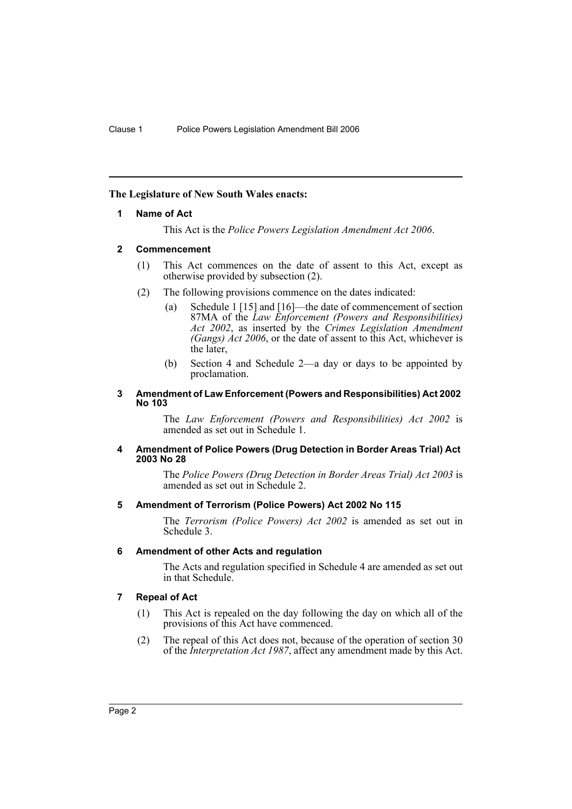# **The Legislature of New South Wales enacts:**

## **1 Name of Act**

This Act is the *Police Powers Legislation Amendment Act 2006*.

## **2 Commencement**

- (1) This Act commences on the date of assent to this Act, except as otherwise provided by subsection (2).
- (2) The following provisions commence on the dates indicated:
	- (a) Schedule 1 [15] and [16]—the date of commencement of section 87MA of the *Law Enforcement (Powers and Responsibilities) Act 2002*, as inserted by the *Crimes Legislation Amendment (Gangs) Act 2006*, or the date of assent to this Act, whichever is the later,
	- (b) Section 4 and Schedule 2—a day or days to be appointed by proclamation.

#### **3 Amendment of Law Enforcement (Powers and Responsibilities) Act 2002 No 103**

The *Law Enforcement (Powers and Responsibilities) Act 2002* is amended as set out in Schedule 1.

#### **4 Amendment of Police Powers (Drug Detection in Border Areas Trial) Act 2003 No 28**

The *Police Powers (Drug Detection in Border Areas Trial) Act 2003* is amended as set out in Schedule 2.

#### **5 Amendment of Terrorism (Police Powers) Act 2002 No 115**

The *Terrorism (Police Powers) Act 2002* is amended as set out in Schedule 3.

#### **6 Amendment of other Acts and regulation**

The Acts and regulation specified in Schedule 4 are amended as set out in that Schedule.

# **7 Repeal of Act**

- (1) This Act is repealed on the day following the day on which all of the provisions of this Act have commenced.
- (2) The repeal of this Act does not, because of the operation of section 30 of the *Interpretation Act 1987*, affect any amendment made by this Act.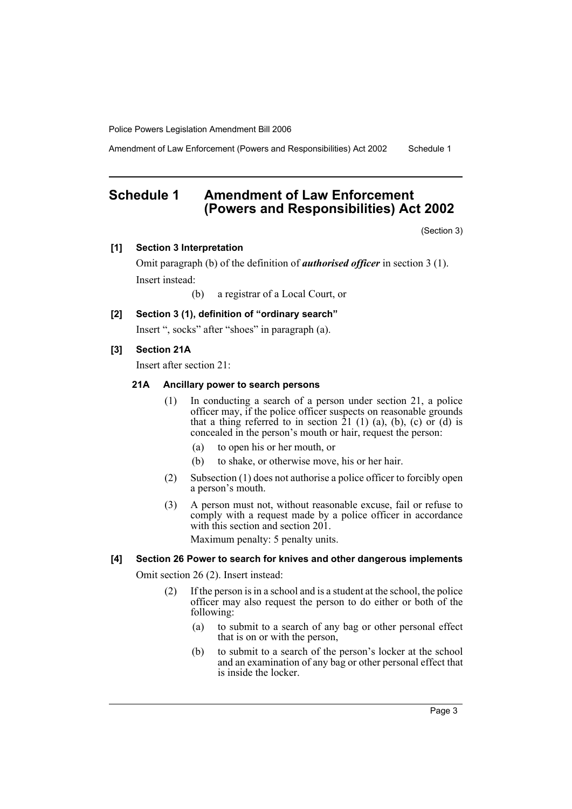Amendment of Law Enforcement (Powers and Responsibilities) Act 2002 Schedule 1

# **Schedule 1 Amendment of Law Enforcement (Powers and Responsibilities) Act 2002**

(Section 3)

## **[1] Section 3 Interpretation**

Omit paragraph (b) of the definition of *authorised officer* in section 3 (1). Insert instead:

(b) a registrar of a Local Court, or

# **[2] Section 3 (1), definition of "ordinary search"**

Insert ", socks" after "shoes" in paragraph (a).

# **[3] Section 21A**

Insert after section 21:

## **21A Ancillary power to search persons**

- (1) In conducting a search of a person under section 21, a police officer may, if the police officer suspects on reasonable grounds that a thing referred to in section  $21$  (1) (a), (b), (c) or (d) is concealed in the person's mouth or hair, request the person:
	- (a) to open his or her mouth, or
	- (b) to shake, or otherwise move, his or her hair.
- (2) Subsection (1) does not authorise a police officer to forcibly open a person's mouth.
- (3) A person must not, without reasonable excuse, fail or refuse to comply with a request made by a police officer in accordance with this section and section 201.

Maximum penalty: 5 penalty units.

# **[4] Section 26 Power to search for knives and other dangerous implements**

Omit section 26 (2). Insert instead:

- (2) If the person is in a school and is a student at the school, the police officer may also request the person to do either or both of the following:
	- (a) to submit to a search of any bag or other personal effect that is on or with the person,
	- (b) to submit to a search of the person's locker at the school and an examination of any bag or other personal effect that is inside the locker.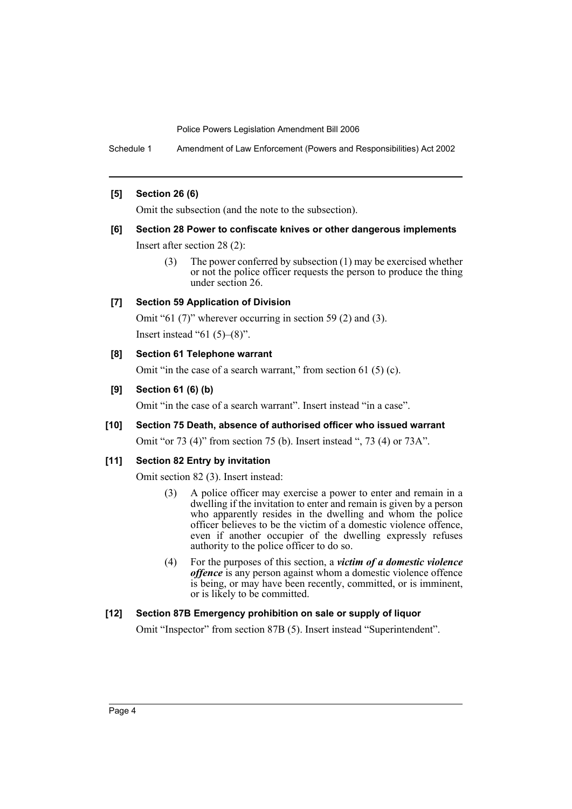Schedule 1 Amendment of Law Enforcement (Powers and Responsibilities) Act 2002

## **[5] Section 26 (6)**

Omit the subsection (and the note to the subsection).

## **[6] Section 28 Power to confiscate knives or other dangerous implements**

Insert after section 28 (2):

(3) The power conferred by subsection (1) may be exercised whether or not the police officer requests the person to produce the thing under section 26.

## **[7] Section 59 Application of Division**

Omit "61 (7)" wherever occurring in section 59 (2) and (3). Insert instead "61 $(5)$ – $(8)$ ".

## **[8] Section 61 Telephone warrant**

Omit "in the case of a search warrant," from section 61 (5) (c).

## **[9] Section 61 (6) (b)**

Omit "in the case of a search warrant". Insert instead "in a case".

**[10] Section 75 Death, absence of authorised officer who issued warrant**

Omit "or 73 (4)" from section 75 (b). Insert instead ", 73 (4) or 73A".

# **[11] Section 82 Entry by invitation**

Omit section 82 (3). Insert instead:

- (3) A police officer may exercise a power to enter and remain in a dwelling if the invitation to enter and remain is given by a person who apparently resides in the dwelling and whom the police officer believes to be the victim of a domestic violence offence, even if another occupier of the dwelling expressly refuses authority to the police officer to do so.
- (4) For the purposes of this section, a *victim of a domestic violence offence* is any person against whom a domestic violence offence is being, or may have been recently, committed, or is imminent, or is likely to be committed.

# **[12] Section 87B Emergency prohibition on sale or supply of liquor**

Omit "Inspector" from section 87B (5). Insert instead "Superintendent".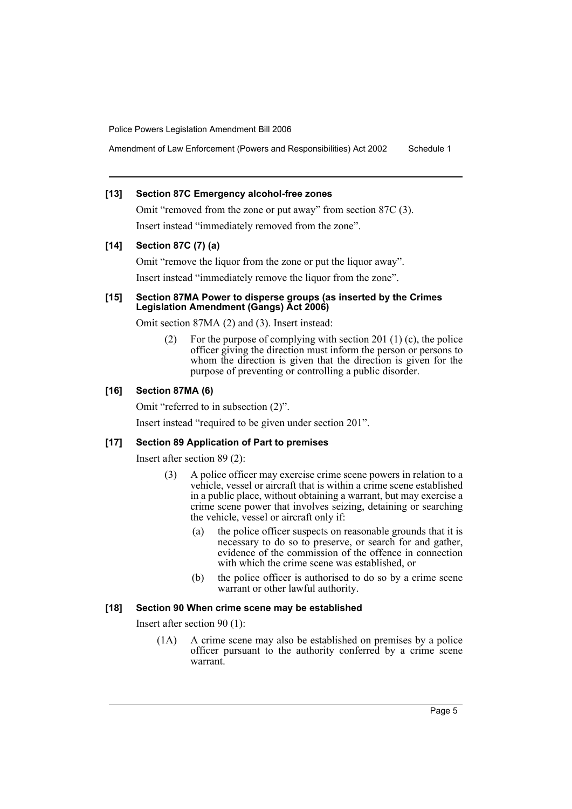Amendment of Law Enforcement (Powers and Responsibilities) Act 2002 Schedule 1

#### **[13] Section 87C Emergency alcohol-free zones**

Omit "removed from the zone or put away" from section 87C (3). Insert instead "immediately removed from the zone".

## **[14] Section 87C (7) (a)**

Omit "remove the liquor from the zone or put the liquor away". Insert instead "immediately remove the liquor from the zone".

## **[15] Section 87MA Power to disperse groups (as inserted by the Crimes Legislation Amendment (Gangs) Act 2006)**

Omit section 87MA (2) and (3). Insert instead:

(2) For the purpose of complying with section 201 (1) (c), the police officer giving the direction must inform the person or persons to whom the direction is given that the direction is given for the purpose of preventing or controlling a public disorder.

## **[16] Section 87MA (6)**

Omit "referred to in subsection (2)".

Insert instead "required to be given under section 201".

#### **[17] Section 89 Application of Part to premises**

Insert after section 89 (2):

- (3) A police officer may exercise crime scene powers in relation to a vehicle, vessel or aircraft that is within a crime scene established in a public place, without obtaining a warrant, but may exercise a crime scene power that involves seizing, detaining or searching the vehicle, vessel or aircraft only if:
	- (a) the police officer suspects on reasonable grounds that it is necessary to do so to preserve, or search for and gather, evidence of the commission of the offence in connection with which the crime scene was established, or
	- (b) the police officer is authorised to do so by a crime scene warrant or other lawful authority.

#### **[18] Section 90 When crime scene may be established**

Insert after section 90 (1):

(1A) A crime scene may also be established on premises by a police officer pursuant to the authority conferred by a crime scene warrant.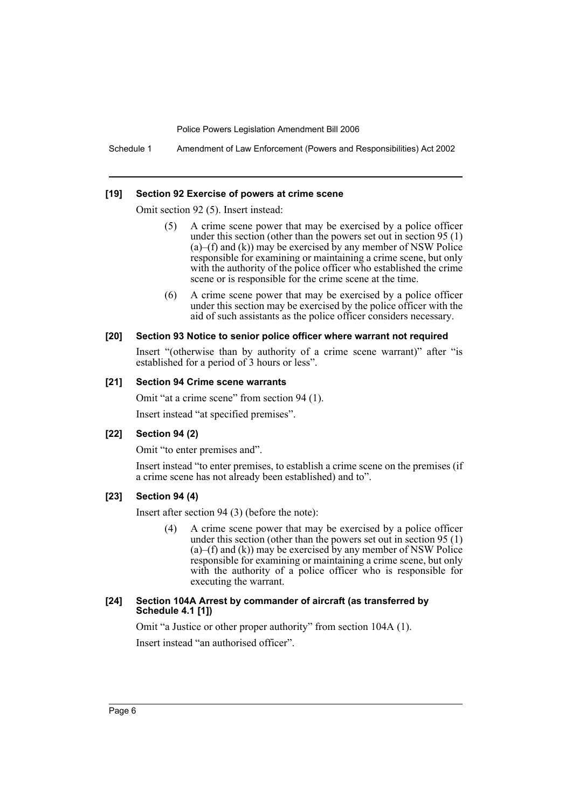Schedule 1 Amendment of Law Enforcement (Powers and Responsibilities) Act 2002

#### **[19] Section 92 Exercise of powers at crime scene**

Omit section 92 (5). Insert instead:

- (5) A crime scene power that may be exercised by a police officer under this section (other than the powers set out in section 95 (1)  $(a)$ –(f) and  $(k)$ ) may be exercised by any member of NSW Police responsible for examining or maintaining a crime scene, but only with the authority of the police officer who established the crime scene or is responsible for the crime scene at the time.
- (6) A crime scene power that may be exercised by a police officer under this section may be exercised by the police officer with the aid of such assistants as the police officer considers necessary.

#### **[20] Section 93 Notice to senior police officer where warrant not required**

Insert "(otherwise than by authority of a crime scene warrant)" after "is established for a period of 3 hours or less".

#### **[21] Section 94 Crime scene warrants**

Omit "at a crime scene" from section 94 (1).

Insert instead "at specified premises".

#### **[22] Section 94 (2)**

Omit "to enter premises and".

Insert instead "to enter premises, to establish a crime scene on the premises (if a crime scene has not already been established) and to".

#### **[23] Section 94 (4)**

Insert after section 94 (3) (before the note):

(4) A crime scene power that may be exercised by a police officer under this section (other than the powers set out in section 95 (1)  $(a)$ –(f) and  $(k)$ ) may be exercised by any member of NSW Police responsible for examining or maintaining a crime scene, but only with the authority of a police officer who is responsible for executing the warrant.

## **[24] Section 104A Arrest by commander of aircraft (as transferred by Schedule 4.1 [1])**

Omit "a Justice or other proper authority" from section 104A (1). Insert instead "an authorised officer".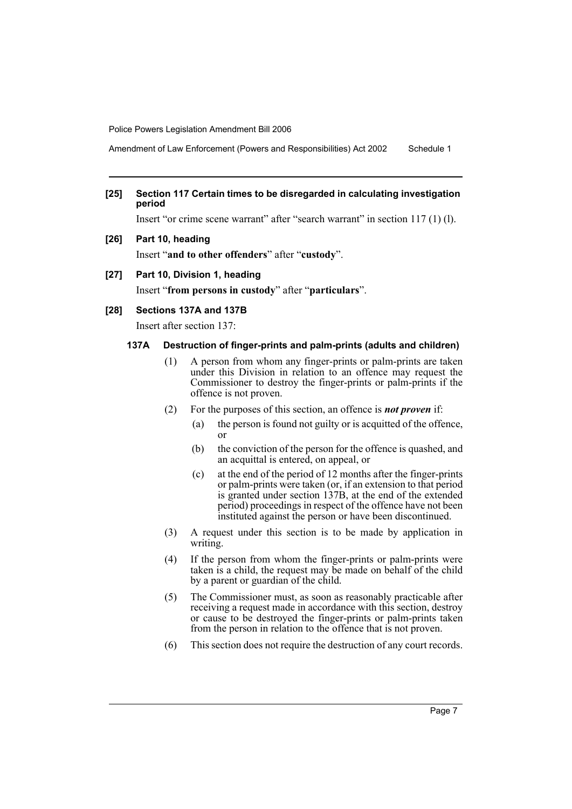Amendment of Law Enforcement (Powers and Responsibilities) Act 2002 Schedule 1

# **[25] Section 117 Certain times to be disregarded in calculating investigation period**

Insert "or crime scene warrant" after "search warrant" in section 117 (1) (l).

**[26] Part 10, heading**

Insert "**and to other offenders**" after "**custody**".

#### **[27] Part 10, Division 1, heading**

Insert "**from persons in custody**" after "**particulars**".

#### **[28] Sections 137A and 137B**

Insert after section 137:

## **137A Destruction of finger-prints and palm-prints (adults and children)**

- (1) A person from whom any finger-prints or palm-prints are taken under this Division in relation to an offence may request the Commissioner to destroy the finger-prints or palm-prints if the offence is not proven.
- (2) For the purposes of this section, an offence is *not proven* if:
	- (a) the person is found not guilty or is acquitted of the offence, or
	- (b) the conviction of the person for the offence is quashed, and an acquittal is entered, on appeal, or
	- (c) at the end of the period of 12 months after the finger-prints or palm-prints were taken (or, if an extension to that period is granted under section 137B, at the end of the extended period) proceedings in respect of the offence have not been instituted against the person or have been discontinued.
- (3) A request under this section is to be made by application in writing.
- (4) If the person from whom the finger-prints or palm-prints were taken is a child, the request may be made on behalf of the child by a parent or guardian of the child.
- (5) The Commissioner must, as soon as reasonably practicable after receiving a request made in accordance with this section, destroy or cause to be destroyed the finger-prints or palm-prints taken from the person in relation to the offence that is not proven.
- (6) This section does not require the destruction of any court records.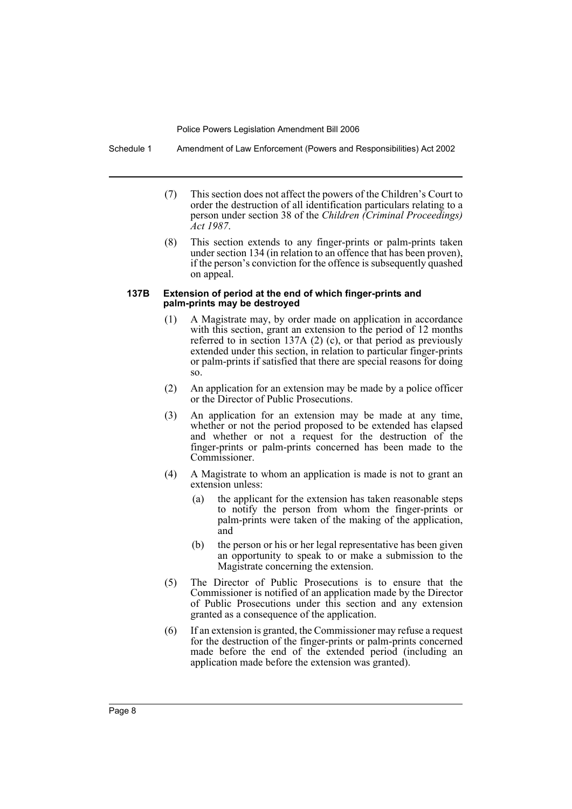Schedule 1 Amendment of Law Enforcement (Powers and Responsibilities) Act 2002

- (7) This section does not affect the powers of the Children's Court to order the destruction of all identification particulars relating to a person under section 38 of the *Children (Criminal Proceedings) Act 1987*.
- (8) This section extends to any finger-prints or palm-prints taken under section 134 (in relation to an offence that has been proven), if the person's conviction for the offence is subsequently quashed on appeal.

#### **137B Extension of period at the end of which finger-prints and palm-prints may be destroyed**

- (1) A Magistrate may, by order made on application in accordance with this section, grant an extension to the period of 12 months referred to in section 137A  $(2)$   $(c)$ , or that period as previously extended under this section, in relation to particular finger-prints or palm-prints if satisfied that there are special reasons for doing so.
- (2) An application for an extension may be made by a police officer or the Director of Public Prosecutions.
- (3) An application for an extension may be made at any time, whether or not the period proposed to be extended has elapsed and whether or not a request for the destruction of the finger-prints or palm-prints concerned has been made to the Commissioner.
- (4) A Magistrate to whom an application is made is not to grant an extension unless:
	- (a) the applicant for the extension has taken reasonable steps to notify the person from whom the finger-prints or palm-prints were taken of the making of the application, and
	- (b) the person or his or her legal representative has been given an opportunity to speak to or make a submission to the Magistrate concerning the extension.
- (5) The Director of Public Prosecutions is to ensure that the Commissioner is notified of an application made by the Director of Public Prosecutions under this section and any extension granted as a consequence of the application.
- (6) If an extension is granted, the Commissioner may refuse a request for the destruction of the finger-prints or palm-prints concerned made before the end of the extended period (including an application made before the extension was granted).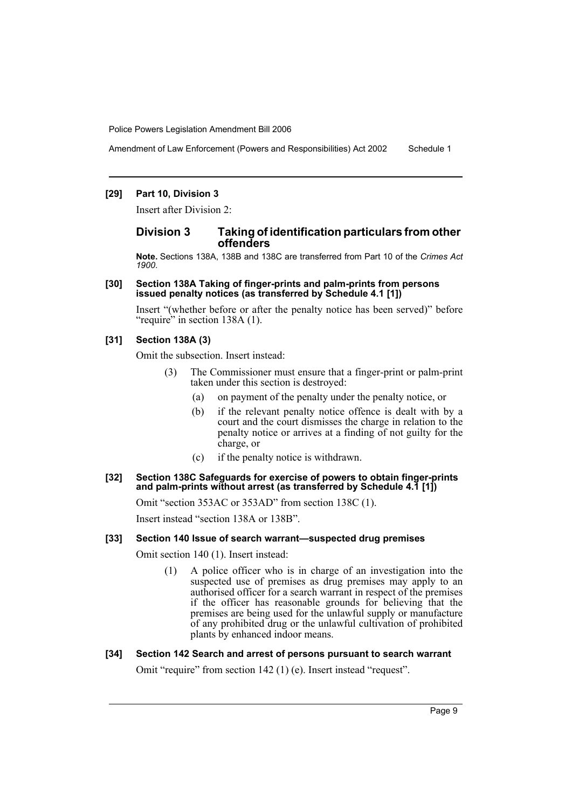Amendment of Law Enforcement (Powers and Responsibilities) Act 2002 Schedule 1

#### **[29] Part 10, Division 3**

Insert after Division 2:

# **Division 3 Taking of identification particulars from other offenders**

**Note.** Sections 138A, 138B and 138C are transferred from Part 10 of the *Crimes Act 1900*.

#### **[30] Section 138A Taking of finger-prints and palm-prints from persons issued penalty notices (as transferred by Schedule 4.1 [1])**

Insert "(whether before or after the penalty notice has been served)" before "require" in section 138A (1).

#### **[31] Section 138A (3)**

Omit the subsection. Insert instead:

- (3) The Commissioner must ensure that a finger-print or palm-print taken under this section is destroyed:
	- (a) on payment of the penalty under the penalty notice, or
	- (b) if the relevant penalty notice offence is dealt with by a court and the court dismisses the charge in relation to the penalty notice or arrives at a finding of not guilty for the charge, or
	- (c) if the penalty notice is withdrawn.

#### **[32] Section 138C Safeguards for exercise of powers to obtain finger-prints and palm-prints without arrest (as transferred by Schedule 4.1 [1])**

Omit "section 353AC or 353AD" from section 138C (1).

Insert instead "section 138A or 138B".

#### **[33] Section 140 Issue of search warrant—suspected drug premises**

Omit section 140 (1). Insert instead:

(1) A police officer who is in charge of an investigation into the suspected use of premises as drug premises may apply to an authorised officer for a search warrant in respect of the premises if the officer has reasonable grounds for believing that the premises are being used for the unlawful supply or manufacture of any prohibited drug or the unlawful cultivation of prohibited plants by enhanced indoor means.

#### **[34] Section 142 Search and arrest of persons pursuant to search warrant**

Omit "require" from section 142 (1) (e). Insert instead "request".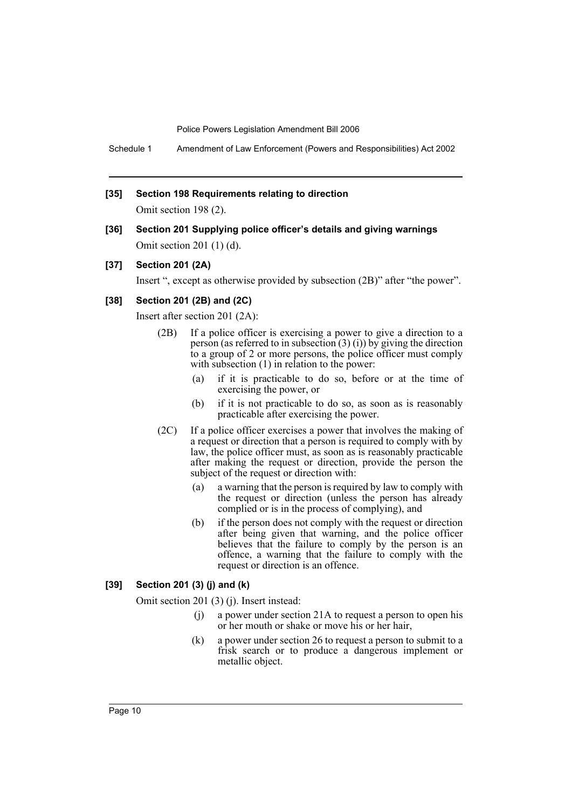Schedule 1 Amendment of Law Enforcement (Powers and Responsibilities) Act 2002

#### **[35] Section 198 Requirements relating to direction**

Omit section 198 (2).

**[36] Section 201 Supplying police officer's details and giving warnings** Omit section 201 (1) (d).

## **[37] Section 201 (2A)**

Insert ", except as otherwise provided by subsection (2B)" after "the power".

# **[38] Section 201 (2B) and (2C)**

Insert after section 201 (2A):

- (2B) If a police officer is exercising a power to give a direction to a person (as referred to in subsection  $(3)(i)$ ) by giving the direction to a group of 2 or more persons, the police officer must comply with subsection (1) in relation to the power:
	- (a) if it is practicable to do so, before or at the time of exercising the power, or
	- (b) if it is not practicable to do so, as soon as is reasonably practicable after exercising the power.
- (2C) If a police officer exercises a power that involves the making of a request or direction that a person is required to comply with by law, the police officer must, as soon as is reasonably practicable after making the request or direction, provide the person the subject of the request or direction with:
	- (a) a warning that the person is required by law to comply with the request or direction (unless the person has already complied or is in the process of complying), and
	- (b) if the person does not comply with the request or direction after being given that warning, and the police officer believes that the failure to comply by the person is an offence, a warning that the failure to comply with the request or direction is an offence.

## **[39] Section 201 (3) (j) and (k)**

Omit section 201 (3) (j). Insert instead:

- (j) a power under section 21A to request a person to open his or her mouth or shake or move his or her hair,
- (k) a power under section 26 to request a person to submit to a frisk search or to produce a dangerous implement or metallic object.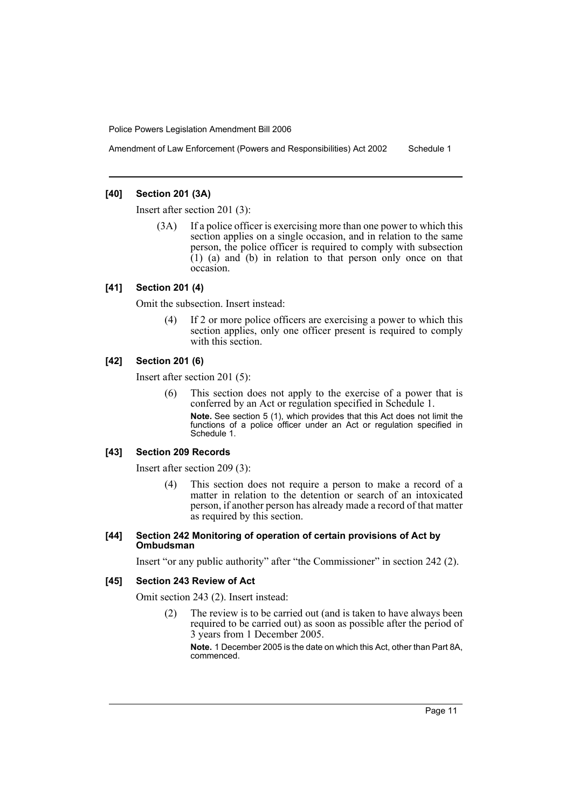Amendment of Law Enforcement (Powers and Responsibilities) Act 2002 Schedule 1

#### **[40] Section 201 (3A)**

Insert after section 201 (3):

(3A) If a police officer is exercising more than one power to which this section applies on a single occasion, and in relation to the same person, the police officer is required to comply with subsection  $(1)$  (a) and (b) in relation to that person only once on that occasion.

#### **[41] Section 201 (4)**

Omit the subsection. Insert instead:

(4) If 2 or more police officers are exercising a power to which this section applies, only one officer present is required to comply with this section.

#### **[42] Section 201 (6)**

Insert after section 201 (5):

(6) This section does not apply to the exercise of a power that is conferred by an Act or regulation specified in Schedule 1.

**Note.** See section 5 (1), which provides that this Act does not limit the functions of a police officer under an Act or regulation specified in Schedule 1.

#### **[43] Section 209 Records**

Insert after section 209 (3):

(4) This section does not require a person to make a record of a matter in relation to the detention or search of an intoxicated person, if another person has already made a record of that matter as required by this section.

#### **[44] Section 242 Monitoring of operation of certain provisions of Act by Ombudsman**

Insert "or any public authority" after "the Commissioner" in section 242 (2).

#### **[45] Section 243 Review of Act**

Omit section 243 (2). Insert instead:

(2) The review is to be carried out (and is taken to have always been required to be carried out) as soon as possible after the period of 3 years from 1 December 2005.

**Note.** 1 December 2005 is the date on which this Act, other than Part 8A, commenced.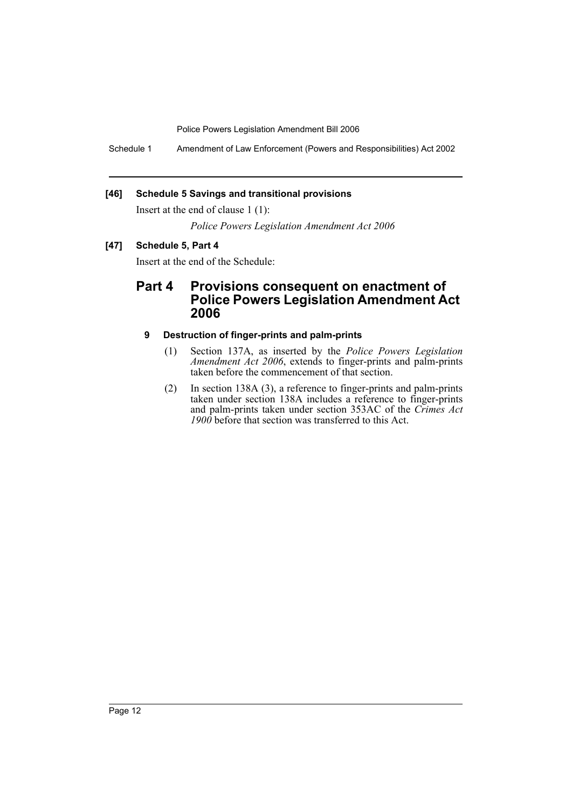Schedule 1 Amendment of Law Enforcement (Powers and Responsibilities) Act 2002

# **[46] Schedule 5 Savings and transitional provisions**

Insert at the end of clause 1 (1):

*Police Powers Legislation Amendment Act 2006*

# **[47] Schedule 5, Part 4**

Insert at the end of the Schedule:

# **Part 4 Provisions consequent on enactment of Police Powers Legislation Amendment Act 2006**

# **9 Destruction of finger-prints and palm-prints**

- (1) Section 137A, as inserted by the *Police Powers Legislation Amendment Act 2006*, extends to finger-prints and palm-prints taken before the commencement of that section.
- (2) In section 138A (3), a reference to finger-prints and palm-prints taken under section 138A includes a reference to finger-prints and palm-prints taken under section 353AC of the *Crimes Act 1900* before that section was transferred to this Act.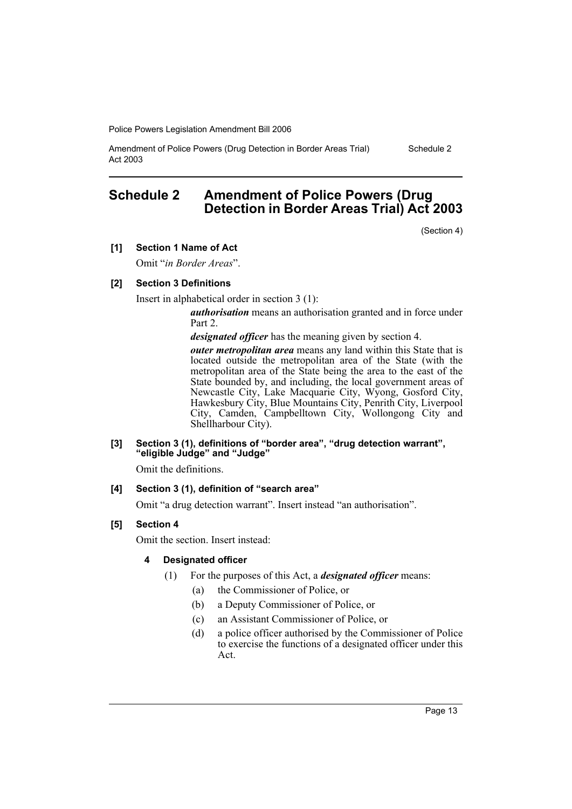Amendment of Police Powers (Drug Detection in Border Areas Trial) Act 2003

# Schedule 2

# **Schedule 2 Amendment of Police Powers (Drug Detection in Border Areas Trial) Act 2003**

(Section 4)

**[1] Section 1 Name of Act**

Omit "*in Border Areas*".

#### **[2] Section 3 Definitions**

Insert in alphabetical order in section 3 (1):

*authorisation* means an authorisation granted and in force under Part 2.

*designated officer* has the meaning given by section 4.

*outer metropolitan area* means any land within this State that is located outside the metropolitan area of the State (with the metropolitan area of the State being the area to the east of the State bounded by, and including, the local government areas of Newcastle City, Lake Macquarie City, Wyong, Gosford City, Hawkesbury City, Blue Mountains City, Penrith City, Liverpool City, Camden, Campbelltown City, Wollongong City and Shellharbour City).

**[3] Section 3 (1), definitions of "border area", "drug detection warrant", "eligible Judge" and "Judge"**

Omit the definitions.

# **[4] Section 3 (1), definition of "search area"**

Omit "a drug detection warrant". Insert instead "an authorisation".

# **[5] Section 4**

Omit the section. Insert instead:

#### **4 Designated officer**

- (1) For the purposes of this Act, a *designated officer* means:
	- (a) the Commissioner of Police, or
	- (b) a Deputy Commissioner of Police, or
	- (c) an Assistant Commissioner of Police, or
	- (d) a police officer authorised by the Commissioner of Police to exercise the functions of a designated officer under this Act.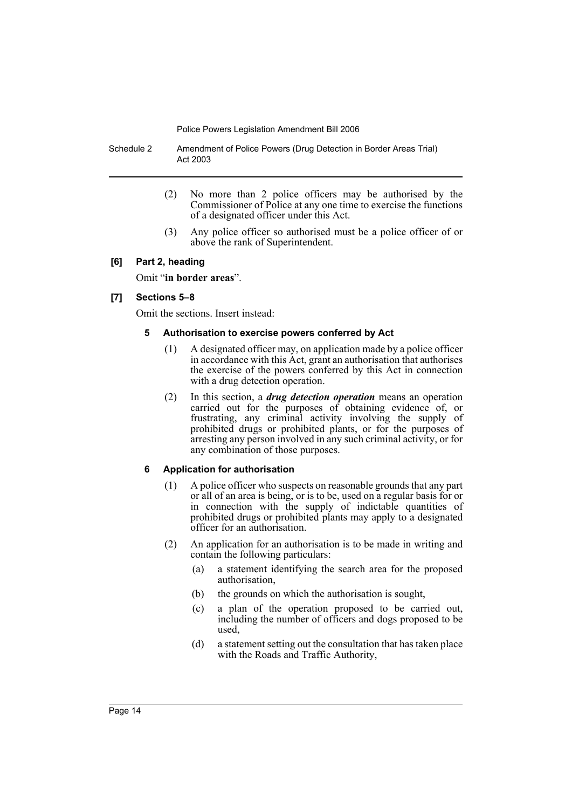Schedule 2 Amendment of Police Powers (Drug Detection in Border Areas Trial) Act 2003

- (2) No more than 2 police officers may be authorised by the Commissioner of Police at any one time to exercise the functions of a designated officer under this Act.
- (3) Any police officer so authorised must be a police officer of or above the rank of Superintendent.

# **[6] Part 2, heading**

Omit "**in border areas**".

# **[7] Sections 5–8**

Omit the sections. Insert instead:

## **5 Authorisation to exercise powers conferred by Act**

- (1) A designated officer may, on application made by a police officer in accordance with this Act, grant an authorisation that authorises the exercise of the powers conferred by this Act in connection with a drug detection operation.
- (2) In this section, a *drug detection operation* means an operation carried out for the purposes of obtaining evidence of, or frustrating, any criminal activity involving the supply of prohibited drugs or prohibited plants, or for the purposes of arresting any person involved in any such criminal activity, or for any combination of those purposes.

# **6 Application for authorisation**

- (1) A police officer who suspects on reasonable grounds that any part or all of an area is being, or is to be, used on a regular basis for or in connection with the supply of indictable quantities of prohibited drugs or prohibited plants may apply to a designated officer for an authorisation.
- (2) An application for an authorisation is to be made in writing and contain the following particulars:
	- (a) a statement identifying the search area for the proposed authorisation,
	- (b) the grounds on which the authorisation is sought,
	- (c) a plan of the operation proposed to be carried out, including the number of officers and dogs proposed to be used,
	- (d) a statement setting out the consultation that has taken place with the Roads and Traffic Authority,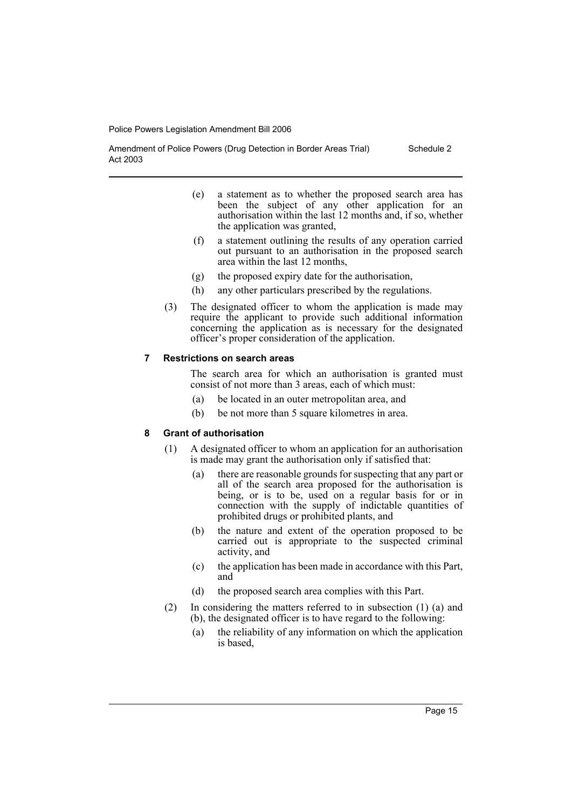Amendment of Police Powers (Drug Detection in Border Areas Trial) Act 2003

- (e) a statement as to whether the proposed search area has been the subject of any other application for an authorisation within the last 12 months and, if so, whether the application was granted,
- (f) a statement outlining the results of any operation carried out pursuant to an authorisation in the proposed search area within the last 12 months,
- (g) the proposed expiry date for the authorisation,
- (h) any other particulars prescribed by the regulations.
- (3) The designated officer to whom the application is made may require the applicant to provide such additional information concerning the application as is necessary for the designated officer's proper consideration of the application.

#### **7 Restrictions on search areas**

The search area for which an authorisation is granted must consist of not more than 3 areas, each of which must:

- (a) be located in an outer metropolitan area, and
- (b) be not more than 5 square kilometres in area.

#### **8 Grant of authorisation**

- (1) A designated officer to whom an application for an authorisation is made may grant the authorisation only if satisfied that:
	- (a) there are reasonable grounds for suspecting that any part or all of the search area proposed for the authorisation is being, or is to be, used on a regular basis for or in connection with the supply of indictable quantities of prohibited drugs or prohibited plants, and
	- (b) the nature and extent of the operation proposed to be carried out is appropriate to the suspected criminal activity, and
	- (c) the application has been made in accordance with this Part, and
	- (d) the proposed search area complies with this Part.
- (2) In considering the matters referred to in subsection (1) (a) and (b), the designated officer is to have regard to the following:
	- (a) the reliability of any information on which the application is based,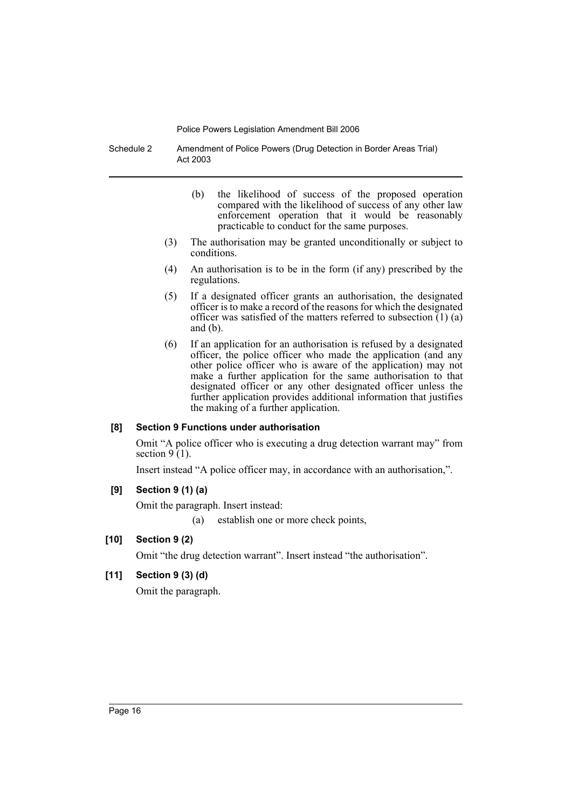Schedule 2 Amendment of Police Powers (Drug Detection in Border Areas Trial) Act 2003

- (b) the likelihood of success of the proposed operation compared with the likelihood of success of any other law enforcement operation that it would be reasonably practicable to conduct for the same purposes.
- (3) The authorisation may be granted unconditionally or subject to conditions.
- (4) An authorisation is to be in the form (if any) prescribed by the regulations.
- (5) If a designated officer grants an authorisation, the designated officer is to make a record of the reasons for which the designated officer was satisfied of the matters referred to subsection (1) (a) and  $(b)$ .
- (6) If an application for an authorisation is refused by a designated officer, the police officer who made the application (and any other police officer who is aware of the application) may not make a further application for the same authorisation to that designated officer or any other designated officer unless the further application provides additional information that justifies the making of a further application.

#### **[8] Section 9 Functions under authorisation**

Omit "A police officer who is executing a drug detection warrant may" from section  $9(1)$ .

Insert instead "A police officer may, in accordance with an authorisation,".

# **[9] Section 9 (1) (a)**

Omit the paragraph. Insert instead:

(a) establish one or more check points,

# **[10] Section 9 (2)**

Omit "the drug detection warrant". Insert instead "the authorisation".

# **[11] Section 9 (3) (d)**

Omit the paragraph.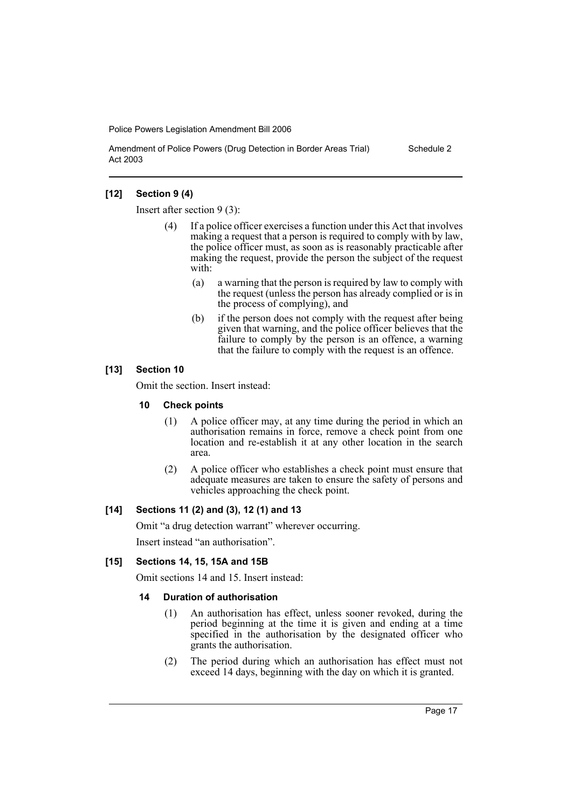Amendment of Police Powers (Drug Detection in Border Areas Trial) Act 2003

#### Schedule 2

# **[12] Section 9 (4)**

Insert after section 9 (3):

- (4) If a police officer exercises a function under this Act that involves making a request that a person is required to comply with by law, the police officer must, as soon as is reasonably practicable after making the request, provide the person the subject of the request with:
	- (a) a warning that the person is required by law to comply with the request (unless the person has already complied or is in the process of complying), and
	- (b) if the person does not comply with the request after being given that warning, and the police officer believes that the failure to comply by the person is an offence, a warning that the failure to comply with the request is an offence.

# **[13] Section 10**

Omit the section. Insert instead:

## **10 Check points**

- (1) A police officer may, at any time during the period in which an authorisation remains in force, remove a check point from one location and re-establish it at any other location in the search area.
- (2) A police officer who establishes a check point must ensure that adequate measures are taken to ensure the safety of persons and vehicles approaching the check point.

# **[14] Sections 11 (2) and (3), 12 (1) and 13**

Omit "a drug detection warrant" wherever occurring.

Insert instead "an authorisation".

# **[15] Sections 14, 15, 15A and 15B**

Omit sections 14 and 15. Insert instead:

# **14 Duration of authorisation**

- (1) An authorisation has effect, unless sooner revoked, during the period beginning at the time it is given and ending at a time specified in the authorisation by the designated officer who grants the authorisation.
- (2) The period during which an authorisation has effect must not exceed 14 days, beginning with the day on which it is granted.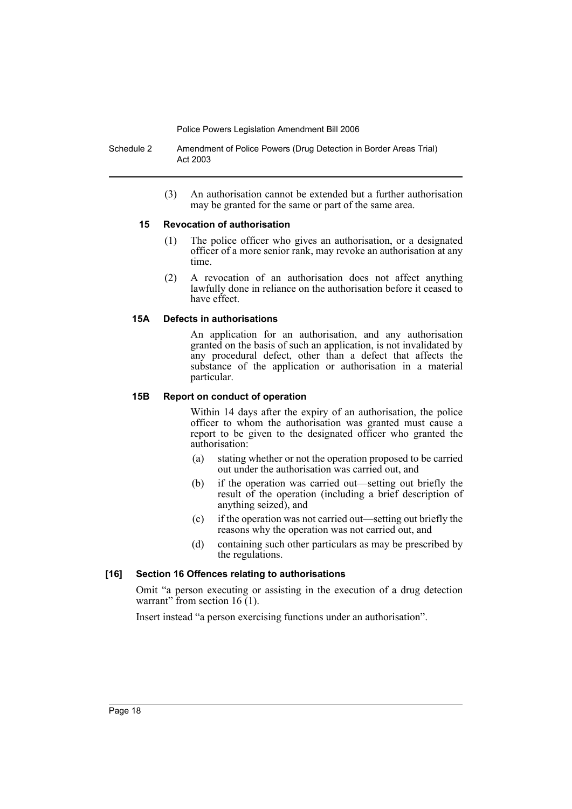Schedule 2 Amendment of Police Powers (Drug Detection in Border Areas Trial) Act 2003

> (3) An authorisation cannot be extended but a further authorisation may be granted for the same or part of the same area.

## **15 Revocation of authorisation**

- (1) The police officer who gives an authorisation, or a designated officer of a more senior rank, may revoke an authorisation at any time.
- (2) A revocation of an authorisation does not affect anything lawfully done in reliance on the authorisation before it ceased to have effect.

# **15A Defects in authorisations**

An application for an authorisation, and any authorisation granted on the basis of such an application, is not invalidated by any procedural defect, other than a defect that affects the substance of the application or authorisation in a material particular.

## **15B Report on conduct of operation**

Within 14 days after the expiry of an authorisation, the police officer to whom the authorisation was granted must cause a report to be given to the designated officer who granted the authorisation:

- (a) stating whether or not the operation proposed to be carried out under the authorisation was carried out, and
- (b) if the operation was carried out—setting out briefly the result of the operation (including a brief description of anything seized), and
- (c) if the operation was not carried out—setting out briefly the reasons why the operation was not carried out, and
- (d) containing such other particulars as may be prescribed by the regulations.

# **[16] Section 16 Offences relating to authorisations**

Omit "a person executing or assisting in the execution of a drug detection warrant" from section 16 (1).

Insert instead "a person exercising functions under an authorisation".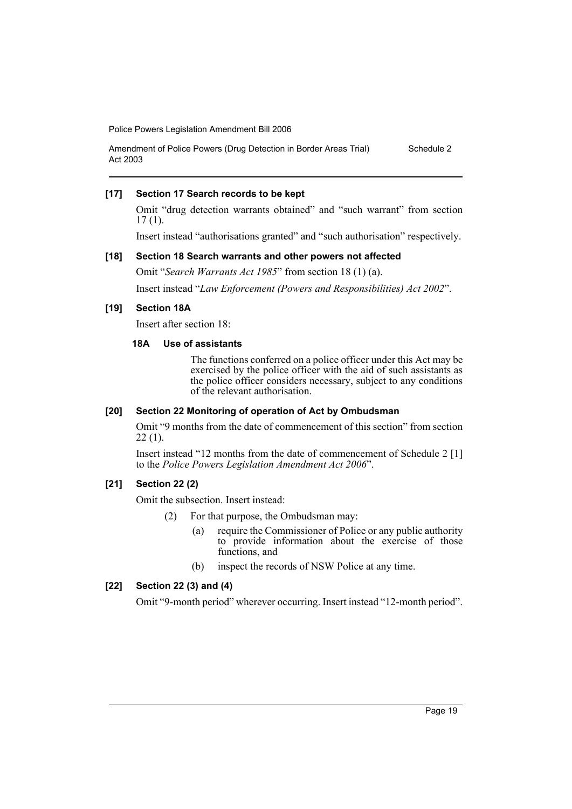Amendment of Police Powers (Drug Detection in Border Areas Trial) Act 2003 Schedule 2

#### **[17] Section 17 Search records to be kept**

Omit "drug detection warrants obtained" and "such warrant" from section 17 (1).

Insert instead "authorisations granted" and "such authorisation" respectively.

#### **[18] Section 18 Search warrants and other powers not affected**

Omit "*Search Warrants Act 1985*" from section 18 (1) (a).

Insert instead "*Law Enforcement (Powers and Responsibilities) Act 2002*".

## **[19] Section 18A**

Insert after section 18:

# **18A Use of assistants**

The functions conferred on a police officer under this Act may be exercised by the police officer with the aid of such assistants as the police officer considers necessary, subject to any conditions of the relevant authorisation.

#### **[20] Section 22 Monitoring of operation of Act by Ombudsman**

Omit "9 months from the date of commencement of this section" from section  $22(1)$ .

Insert instead "12 months from the date of commencement of Schedule 2 [1] to the *Police Powers Legislation Amendment Act 2006*".

# **[21] Section 22 (2)**

Omit the subsection. Insert instead:

- (2) For that purpose, the Ombudsman may:
	- (a) require the Commissioner of Police or any public authority to provide information about the exercise of those functions, and
	- (b) inspect the records of NSW Police at any time.

# **[22] Section 22 (3) and (4)**

Omit "9-month period" wherever occurring. Insert instead "12-month period".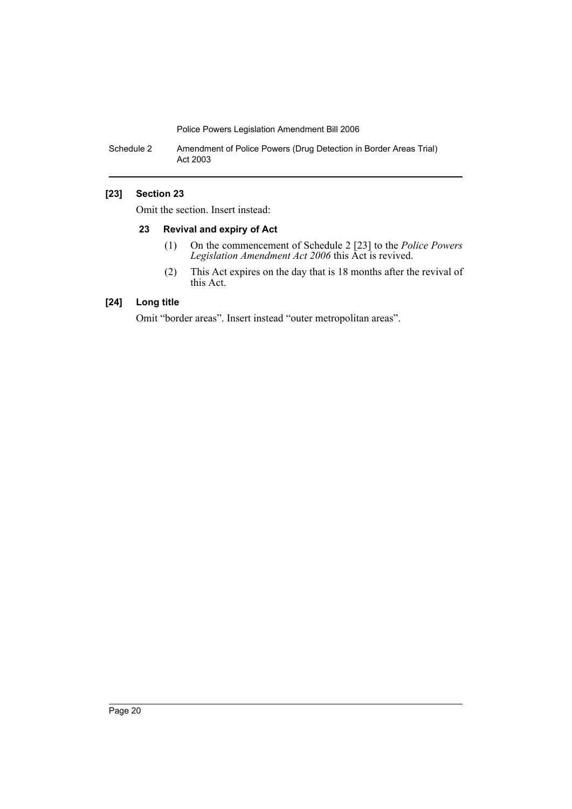Schedule 2 Amendment of Police Powers (Drug Detection in Border Areas Trial) Act 2003

# **[23] Section 23**

Omit the section. Insert instead:

#### **23 Revival and expiry of Act**

- (1) On the commencement of Schedule 2 [23] to the *Police Powers Legislation Amendment Act 2006* this Act is revived.
- (2) This Act expires on the day that is 18 months after the revival of this Act.

# **[24] Long title**

Omit "border areas". Insert instead "outer metropolitan areas".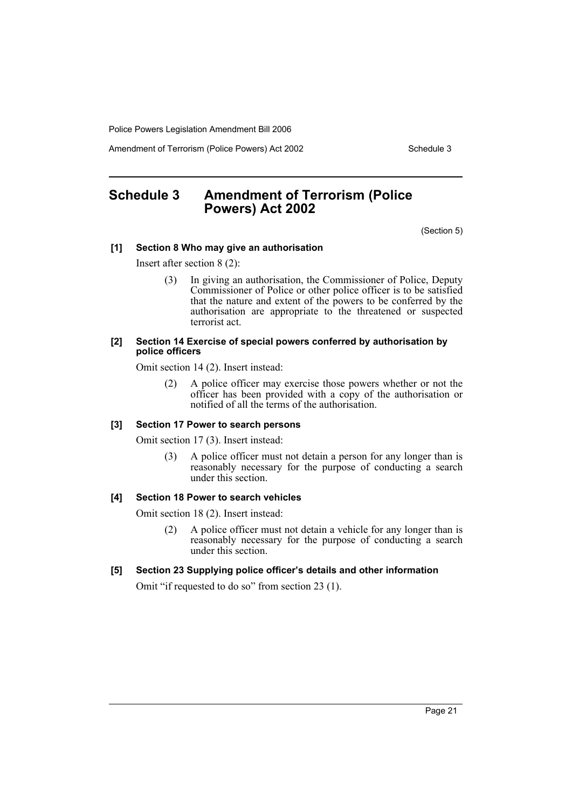Amendment of Terrorism (Police Powers) Act 2002 Schedule 3

# **Schedule 3 Amendment of Terrorism (Police Powers) Act 2002**

(Section 5)

#### **[1] Section 8 Who may give an authorisation**

Insert after section 8 (2):

(3) In giving an authorisation, the Commissioner of Police, Deputy Commissioner of Police or other police officer is to be satisfied that the nature and extent of the powers to be conferred by the authorisation are appropriate to the threatened or suspected terrorist act.

#### **[2] Section 14 Exercise of special powers conferred by authorisation by police officers**

Omit section 14 (2). Insert instead:

(2) A police officer may exercise those powers whether or not the officer has been provided with a copy of the authorisation or notified of all the terms of the authorisation.

# **[3] Section 17 Power to search persons**

Omit section 17 (3). Insert instead:

(3) A police officer must not detain a person for any longer than is reasonably necessary for the purpose of conducting a search under this section.

#### **[4] Section 18 Power to search vehicles**

Omit section 18 (2). Insert instead:

(2) A police officer must not detain a vehicle for any longer than is reasonably necessary for the purpose of conducting a search under this section.

#### **[5] Section 23 Supplying police officer's details and other information**

Omit "if requested to do so" from section 23 (1).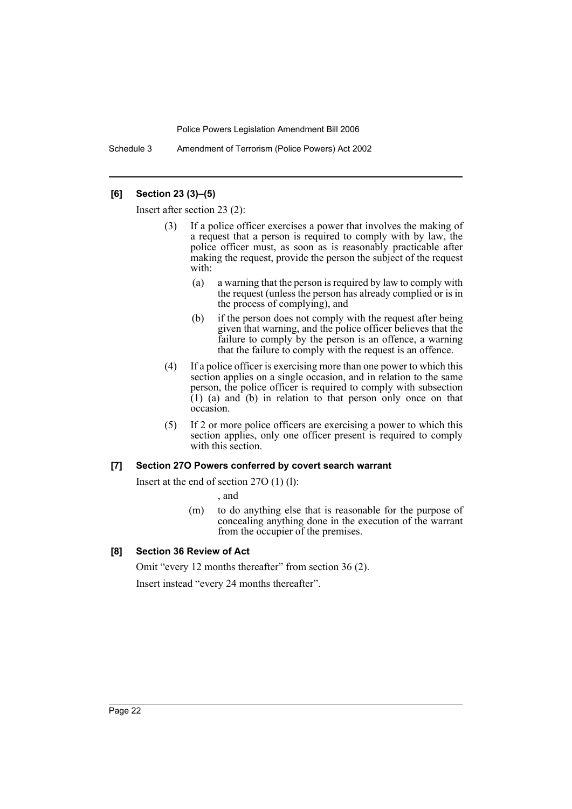Schedule 3 Amendment of Terrorism (Police Powers) Act 2002

# **[6] Section 23 (3)–(5)**

Insert after section 23 (2):

- (3) If a police officer exercises a power that involves the making of a request that a person is required to comply with by law, the police officer must, as soon as is reasonably practicable after making the request, provide the person the subject of the request with:
	- (a) a warning that the person is required by law to comply with the request (unless the person has already complied or is in the process of complying), and
	- (b) if the person does not comply with the request after being given that warning, and the police officer believes that the failure to comply by the person is an offence, a warning that the failure to comply with the request is an offence.
- (4) If a police officer is exercising more than one power to which this section applies on a single occasion, and in relation to the same person, the police officer is required to comply with subsection  $(1)$  (a) and  $(b)$  in relation to that person only once on that occasion.
- (5) If 2 or more police officers are exercising a power to which this section applies, only one officer present is required to comply with this section.

#### **[7] Section 27O Powers conferred by covert search warrant**

Insert at the end of section 27O (1) (l):

, and

(m) to do anything else that is reasonable for the purpose of concealing anything done in the execution of the warrant from the occupier of the premises.

# **[8] Section 36 Review of Act**

Omit "every 12 months thereafter" from section 36 (2).

Insert instead "every 24 months thereafter".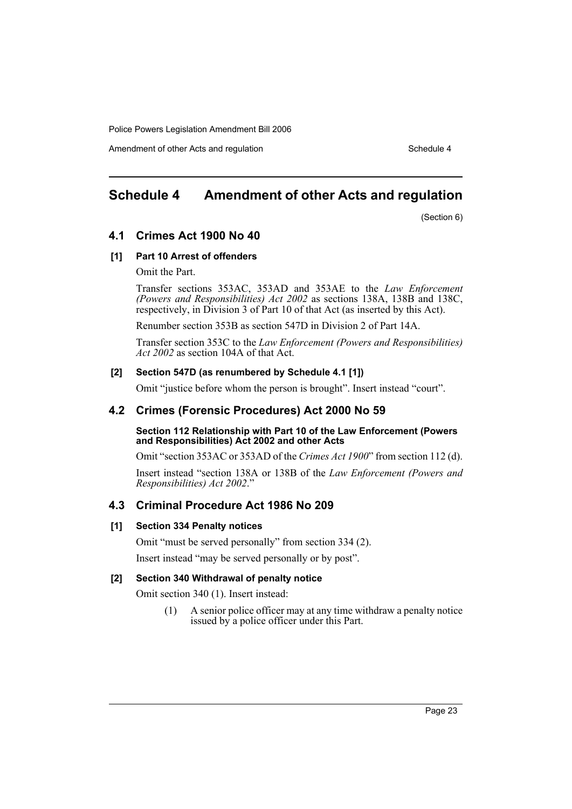Amendment of other Acts and regulation Schedule 4

# **Schedule 4 Amendment of other Acts and regulation**

(Section 6)

# **4.1 Crimes Act 1900 No 40**

## **[1] Part 10 Arrest of offenders**

Omit the Part.

Transfer sections 353AC, 353AD and 353AE to the *Law Enforcement (Powers and Responsibilities) Act 2002* as sections 138A, 138B and 138C, respectively, in Division 3 of Part 10 of that Act (as inserted by this Act).

Renumber section 353B as section 547D in Division 2 of Part 14A.

Transfer section 353C to the *Law Enforcement (Powers and Responsibilities) Act 2002* as section 104A of that Act.

# **[2] Section 547D (as renumbered by Schedule 4.1 [1])**

Omit "justice before whom the person is brought". Insert instead "court".

# **4.2 Crimes (Forensic Procedures) Act 2000 No 59**

#### **Section 112 Relationship with Part 10 of the Law Enforcement (Powers and Responsibilities) Act 2002 and other Acts**

Omit "section 353AC or 353AD of the *Crimes Act 1900*" from section 112 (d).

Insert instead "section 138A or 138B of the *Law Enforcement (Powers and Responsibilities) Act 2002*."

# **4.3 Criminal Procedure Act 1986 No 209**

#### **[1] Section 334 Penalty notices**

Omit "must be served personally" from section 334 (2).

Insert instead "may be served personally or by post".

# **[2] Section 340 Withdrawal of penalty notice**

Omit section 340 (1). Insert instead:

(1) A senior police officer may at any time withdraw a penalty notice issued by a police officer under this Part.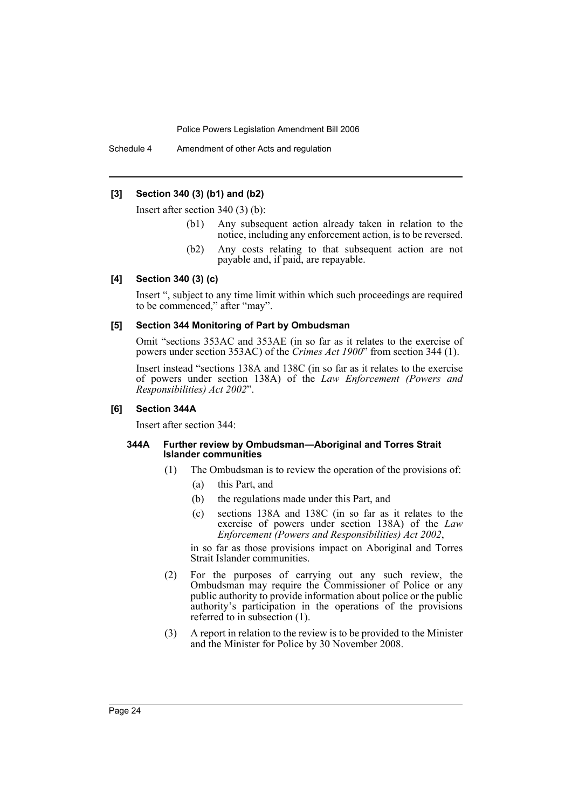Schedule 4 Amendment of other Acts and regulation

## **[3] Section 340 (3) (b1) and (b2)**

Insert after section 340 (3) (b):

- (b1) Any subsequent action already taken in relation to the notice, including any enforcement action, is to be reversed.
- (b2) Any costs relating to that subsequent action are not payable and, if paid, are repayable.

## **[4] Section 340 (3) (c)**

Insert ", subject to any time limit within which such proceedings are required to be commenced," after "may".

# **[5] Section 344 Monitoring of Part by Ombudsman**

Omit "sections 353AC and 353AE (in so far as it relates to the exercise of powers under section 353AC) of the *Crimes Act 1900*" from section 344 (1).

Insert instead "sections 138A and 138C (in so far as it relates to the exercise of powers under section 138A) of the *Law Enforcement (Powers and Responsibilities) Act 2002*".

#### **[6] Section 344A**

Insert after section 344:

#### **344A Further review by Ombudsman—Aboriginal and Torres Strait Islander communities**

- (1) The Ombudsman is to review the operation of the provisions of:
	- (a) this Part, and
	- (b) the regulations made under this Part, and
	- (c) sections 138A and 138C (in so far as it relates to the exercise of powers under section 138A) of the *Law Enforcement (Powers and Responsibilities) Act 2002*,

in so far as those provisions impact on Aboriginal and Torres Strait Islander communities.

- (2) For the purposes of carrying out any such review, the Ombudsman may require the Commissioner of Police or any public authority to provide information about police or the public authority's participation in the operations of the provisions referred to in subsection (1).
- (3) A report in relation to the review is to be provided to the Minister and the Minister for Police by 30 November 2008.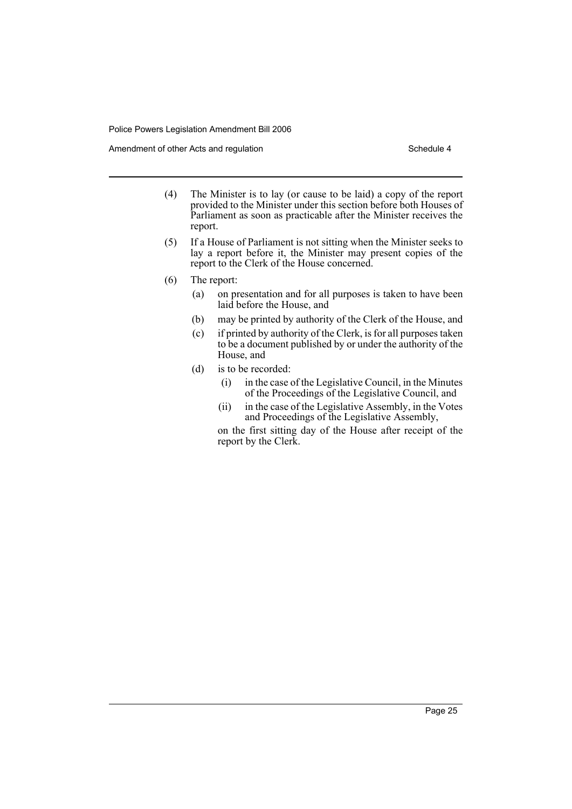Amendment of other Acts and regulation Schedule 4

- (4) The Minister is to lay (or cause to be laid) a copy of the report provided to the Minister under this section before both Houses of Parliament as soon as practicable after the Minister receives the report.
- (5) If a House of Parliament is not sitting when the Minister seeks to lay a report before it, the Minister may present copies of the report to the Clerk of the House concerned.
- (6) The report:
	- (a) on presentation and for all purposes is taken to have been laid before the House, and
	- (b) may be printed by authority of the Clerk of the House, and
	- (c) if printed by authority of the Clerk, is for all purposes taken to be a document published by or under the authority of the House, and
	- (d) is to be recorded:
		- (i) in the case of the Legislative Council, in the Minutes of the Proceedings of the Legislative Council, and
		- (ii) in the case of the Legislative Assembly, in the Votes and Proceedings of the Legislative Assembly,

on the first sitting day of the House after receipt of the report by the Clerk.